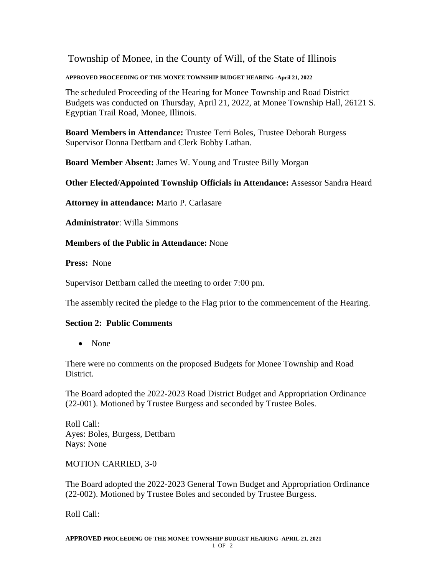Township of Monee, in the County of Will, of the State of Illinois

## **APPROVED PROCEEDING OF THE MONEE TOWNSHIP BUDGET HEARING -April 21, 2022**

The scheduled Proceeding of the Hearing for Monee Township and Road District Budgets was conducted on Thursday, April 21, 2022, at Monee Township Hall, 26121 S. Egyptian Trail Road, Monee, Illinois.

**Board Members in Attendance:** Trustee Terri Boles, Trustee Deborah Burgess Supervisor Donna Dettbarn and Clerk Bobby Lathan.

**Board Member Absent:** James W. Young and Trustee Billy Morgan

**Other Elected/Appointed Township Officials in Attendance:** Assessor Sandra Heard

**Attorney in attendance:** Mario P. Carlasare

**Administrator**: Willa Simmons

**Members of the Public in Attendance:** None

**Press:** None

Supervisor Dettbarn called the meeting to order 7:00 pm.

The assembly recited the pledge to the Flag prior to the commencement of the Hearing.

## **Section 2: Public Comments**

• None

There were no comments on the proposed Budgets for Monee Township and Road District.

The Board adopted the 2022-2023 Road District Budget and Appropriation Ordinance (22-001). Motioned by Trustee Burgess and seconded by Trustee Boles.

Roll Call: Ayes: Boles, Burgess, Dettbarn Nays: None

MOTION CARRIED, 3-0

The Board adopted the 2022-2023 General Town Budget and Appropriation Ordinance (22-002). Motioned by Trustee Boles and seconded by Trustee Burgess.

Roll Call: